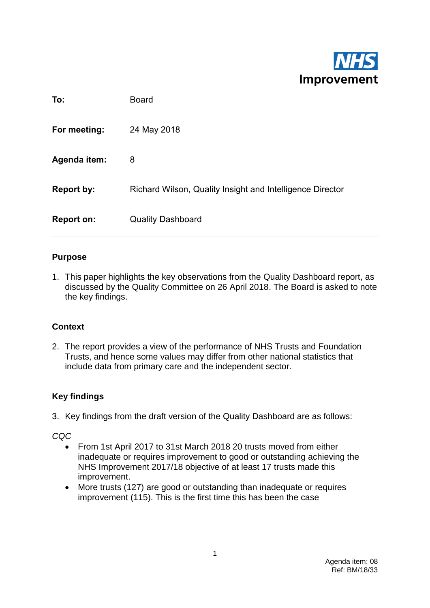

| To:                 | <b>Board</b>                                              |
|---------------------|-----------------------------------------------------------|
| For meeting:        | 24 May 2018                                               |
| <b>Agenda item:</b> | 8                                                         |
| <b>Report by:</b>   | Richard Wilson, Quality Insight and Intelligence Director |
| Report on:          | <b>Quality Dashboard</b>                                  |

#### **Purpose**

1. This paper highlights the key observations from the Quality Dashboard report, as discussed by the Quality Committee on 26 April 2018. The Board is asked to note the key findings.

#### **Context**

2. The report provides a view of the performance of NHS Trusts and Foundation Trusts, and hence some values may differ from other national statistics that include data from primary care and the independent sector.

#### **Key findings**

3. Key findings from the draft version of the Quality Dashboard are as follows:

*CQC*

- From 1st April 2017 to 31st March 2018 20 trusts moved from either inadequate or requires improvement to good or outstanding achieving the NHS Improvement 2017/18 objective of at least 17 trusts made this improvement.
- More trusts (127) are good or outstanding than inadequate or requires improvement (115). This is the first time this has been the case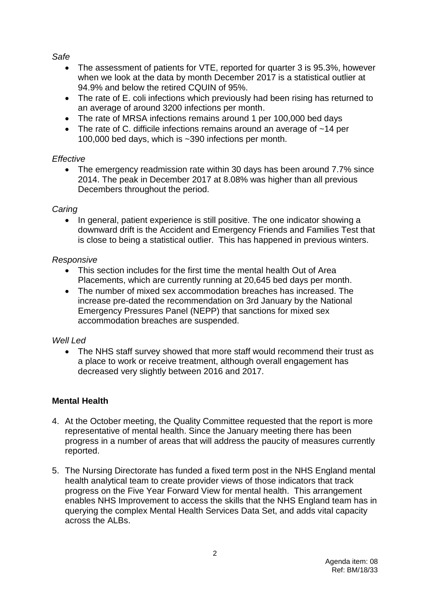*Safe*

- The assessment of patients for VTE, reported for quarter 3 is 95.3%, however when we look at the data by month December 2017 is a statistical outlier at 94.9% and below the retired CQUIN of 95%.
- The rate of E. coli infections which previously had been rising has returned to an average of around 3200 infections per month.
- The rate of MRSA infections remains around 1 per 100,000 bed days
- The rate of C. difficile infections remains around an average of ~14 per 100,000 bed days, which is ~390 infections per month.

#### *Effective*

• The emergency readmission rate within 30 days has been around 7.7% since 2014. The peak in December 2017 at 8.08% was higher than all previous Decembers throughout the period.

#### *Caring*

• In general, patient experience is still positive. The one indicator showing a downward drift is the Accident and Emergency Friends and Families Test that is close to being a statistical outlier. This has happened in previous winters.

#### *Responsive*

- This section includes for the first time the mental health Out of Area Placements, which are currently running at 20,645 bed days per month.
- The number of mixed sex accommodation breaches has increased. The increase pre-dated the recommendation on 3rd January by the National Emergency Pressures Panel (NEPP) that sanctions for mixed sex accommodation breaches are suspended.

#### *Well Led*

• The NHS staff survey showed that more staff would recommend their trust as a place to work or receive treatment, although overall engagement has decreased very slightly between 2016 and 2017.

#### **Mental Health**

- 4. At the October meeting, the Quality Committee requested that the report is more representative of mental health. Since the January meeting there has been progress in a number of areas that will address the paucity of measures currently reported.
- 5. The Nursing Directorate has funded a fixed term post in the NHS England mental health analytical team to create provider views of those indicators that track progress on the Five Year Forward View for mental health. This arrangement enables NHS Improvement to access the skills that the NHS England team has in querying the complex Mental Health Services Data Set, and adds vital capacity across the ALBs.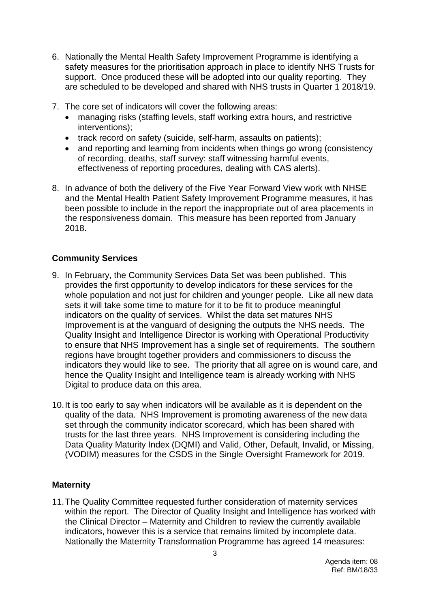- 6. Nationally the Mental Health Safety Improvement Programme is identifying a safety measures for the prioritisation approach in place to identify NHS Trusts for support. Once produced these will be adopted into our quality reporting. They are scheduled to be developed and shared with NHS trusts in Quarter 1 2018/19.
- 7. The core set of indicators will cover the following areas:
	- managing risks (staffing levels, staff working extra hours, and restrictive interventions);
	- track record on safety (suicide, self-harm, assaults on patients);
	- and reporting and learning from incidents when things go wrong (consistency of recording, deaths, staff survey: staff witnessing harmful events, effectiveness of reporting procedures, dealing with CAS alerts).
- 8. In advance of both the delivery of the Five Year Forward View work with NHSE and the Mental Health Patient Safety Improvement Programme measures, it has been possible to include in the report the inappropriate out of area placements in the responsiveness domain. This measure has been reported from January 2018.

#### **Community Services**

- 9. In February, the Community Services Data Set was been published. This provides the first opportunity to develop indicators for these services for the whole population and not just for children and younger people. Like all new data sets it will take some time to mature for it to be fit to produce meaningful indicators on the quality of services. Whilst the data set matures NHS Improvement is at the vanguard of designing the outputs the NHS needs. The Quality Insight and Intelligence Director is working with Operational Productivity to ensure that NHS Improvement has a single set of requirements. The southern regions have brought together providers and commissioners to discuss the indicators they would like to see. The priority that all agree on is wound care, and hence the Quality Insight and Intelligence team is already working with NHS Digital to produce data on this area.
- 10.It is too early to say when indicators will be available as it is dependent on the quality of the data. NHS Improvement is promoting awareness of the new data set through the community indicator scorecard, which has been shared with trusts for the last three years. NHS Improvement is considering including the Data Quality Maturity Index (DQMI) and Valid, Other, Default, Invalid, or Missing, (VODIM) measures for the CSDS in the Single Oversight Framework for 2019.

#### **Maternity**

11.The Quality Committee requested further consideration of maternity services within the report. The Director of Quality Insight and Intelligence has worked with the Clinical Director – Maternity and Children to review the currently available indicators, however this is a service that remains limited by incomplete data. Nationally the Maternity Transformation Programme has agreed 14 measures: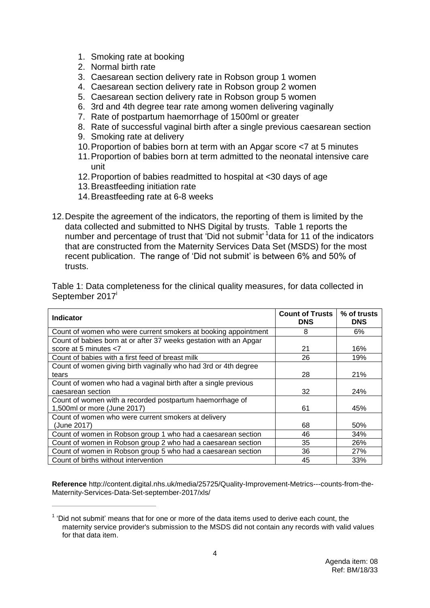- 1. Smoking rate at booking
- 2. Normal birth rate
- 3. Caesarean section delivery rate in Robson group 1 women
- 4. Caesarean section delivery rate in Robson group 2 women
- 5. Caesarean section delivery rate in Robson group 5 women
- 6. 3rd and 4th degree tear rate among women delivering vaginally
- 7. Rate of postpartum haemorrhage of 1500ml or greater
- 8. Rate of successful vaginal birth after a single previous caesarean section
- 9. Smoking rate at delivery
- 10.Proportion of babies born at term with an Apgar score <7 at 5 minutes
- 11.Proportion of babies born at term admitted to the neonatal intensive care unit
- 12.Proportion of babies readmitted to hospital at <30 days of age
- 13.Breastfeeding initiation rate

 $\overline{a}$ 

- 14.Breastfeeding rate at 6-8 weeks
- 12.Despite the agreement of the indicators, the reporting of them is limited by the data collected and submitted to NHS Digital by trusts. Table 1 reports the number and percentage of trust that 'Did not submit' <sup>1</sup>data for 11 of the indicators that are constructed from the Maternity Services Data Set (MSDS) for the most recent publication. The range of 'Did not submit' is between 6% and 50% of trusts.

Table 1: Data completeness for the clinical quality measures, for data collected in September 2017<sup>i</sup>

| <b>Indicator</b>                                                  | <b>Count of Trusts</b><br><b>DNS</b> | % of trusts<br><b>DNS</b> |
|-------------------------------------------------------------------|--------------------------------------|---------------------------|
| Count of women who were current smokers at booking appointment    | 8                                    | 6%                        |
| Count of babies born at or after 37 weeks gestation with an Apgar |                                      |                           |
| score at 5 minutes <7                                             | 21                                   | 16%                       |
| Count of babies with a first feed of breast milk                  | 26                                   | 19%                       |
| Count of women giving birth vaginally who had 3rd or 4th degree   |                                      |                           |
| tears                                                             | 28                                   | 21%                       |
| Count of women who had a vaginal birth after a single previous    |                                      |                           |
| caesarean section                                                 | 32                                   | 24%                       |
| Count of women with a recorded postpartum haemorrhage of          |                                      |                           |
| 1,500ml or more (June 2017)                                       | 61                                   | 45%                       |
| Count of women who were current smokers at delivery               |                                      |                           |
| (June 2017)                                                       | 68                                   | 50%                       |
| Count of women in Robson group 1 who had a caesarean section      | 46                                   | 34%                       |
| Count of women in Robson group 2 who had a caesarean section      | 35                                   | 26%                       |
| Count of women in Robson group 5 who had a caesarean section      | 36                                   | 27%                       |
| Count of births without intervention                              | 45                                   | 33%                       |

**Reference** http://content.digital.nhs.uk/media/25725/Quality-Improvement-Metrics---counts-from-the-Maternity-Services-Data-Set-september-2017/xls/

 $1$  'Did not submit' means that for one or more of the data items used to derive each count, the maternity service provider's submission to the MSDS did not contain any records with valid values for that data item.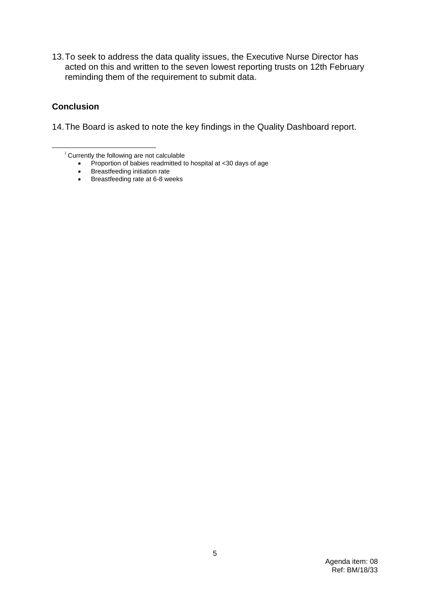13.To seek to address the data quality issues, the Executive Nurse Director has acted on this and written to the seven lowest reporting trusts on 12th February reminding them of the requirement to submit data.

#### **Conclusion**

<u>.</u>

14.The Board is asked to note the key findings in the Quality Dashboard report.

<sup>i</sup> Currently the following are not calculable

- Proportion of babies readmitted to hospital at <30 days of age
- Breastfeeding initiation rate
- Breastfeeding rate at 6-8 weeks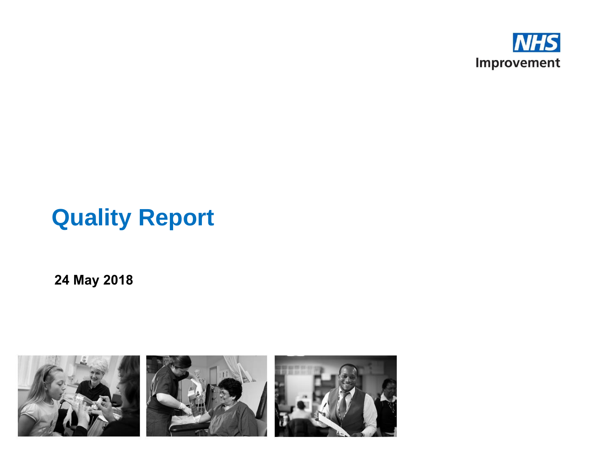

# **Quality Report**

**24 May 2018**

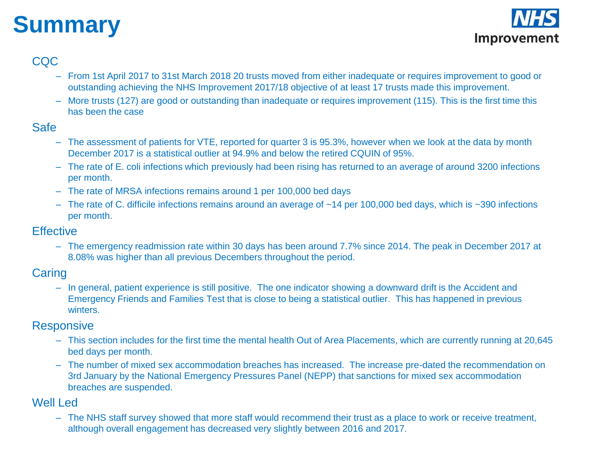# **Summary**



#### CQC

- From 1st April 2017 to 31st March 2018 20 trusts moved from either inadequate or requires improvement to good or outstanding achieving the NHS Improvement 2017/18 objective of at least 17 trusts made this improvement.
- More trusts (127) are good or outstanding than inadequate or requires improvement (115). This is the first time this has been the case

#### Safe

- The assessment of patients for VTE, reported for quarter 3 is 95.3%, however when we look at the data by month December 2017 is a statistical outlier at 94.9% and below the retired CQUIN of 95%.
- The rate of E. coli infections which previously had been rising has returned to an average of around 3200 infections per month.
- The rate of MRSA infections remains around 1 per 100,000 bed days
- The rate of C. difficile infections remains around an average of  $~14$  per 100,000 bed days, which is  $~390$  infections per month.

#### **Effective**

– The emergency readmission rate within 30 days has been around 7.7% since 2014. The peak in December 2017 at 8.08% was higher than all previous Decembers throughout the period.

#### **Caring**

– In general, patient experience is still positive. The one indicator showing a downward drift is the Accident and Emergency Friends and Families Test that is close to being a statistical outlier. This has happened in previous winters.

#### **Responsive**

- This section includes for the first time the mental health Out of Area Placements, which are currently running at 20,645 bed days per month.
- The number of mixed sex accommodation breaches has increased. The increase pre-dated the recommendation on 3rd January by the National Emergency Pressures Panel (NEPP) that sanctions for mixed sex accommodation breaches are suspended.

#### Well Led

– The NHS staff survey showed that more staff would recommend their trust as a place to work or receive treatment, although overall engagement has decreased very slightly between 2016 and 2017.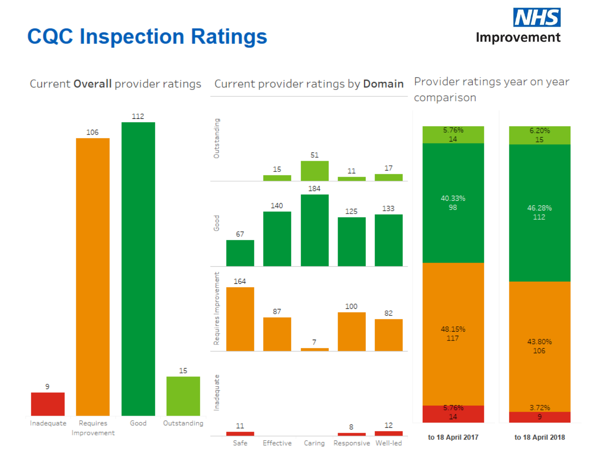# **CQC Inspection Ratings**



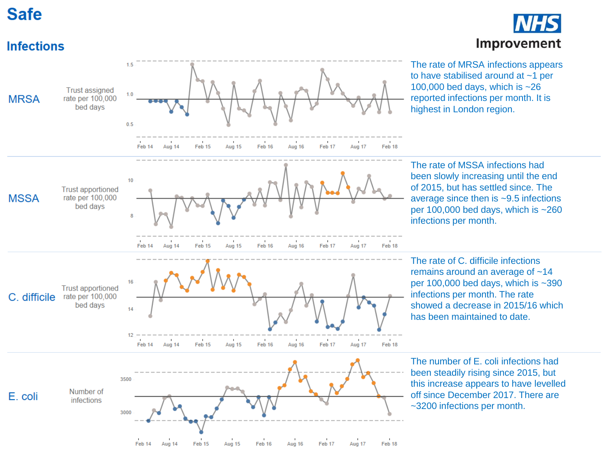## **Safe**



Feb 14

Aug 14

Feb 15

Aug 15

Feb 16

Aug 16

Feb 17

Aug 17

Feb 18

# Improvement

The rate of MRSA infections appears to have stabilised around at ~1 per 100,000 bed days, which is ~26 reported infections per month. It is highest in London region.

The rate of MSSA infections had been slowly increasing until the end of 2015, but has settled since. The average since then is ~9.5 infections per 100,000 bed days, which is ~260 infections per month.

The rate of C. difficile infections remains around an average of ~14 per 100,000 bed days, which is ~390 infections per month. The rate showed a decrease in 2015/16 which has been maintained to date.

The number of E. coli infections had been steadily rising since 2015, but this increase appears to have levelled off since December 2017. There are ~3200 infections per month.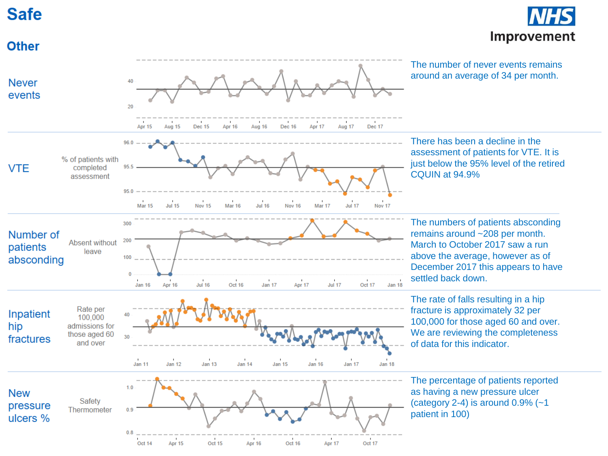## **Safe**



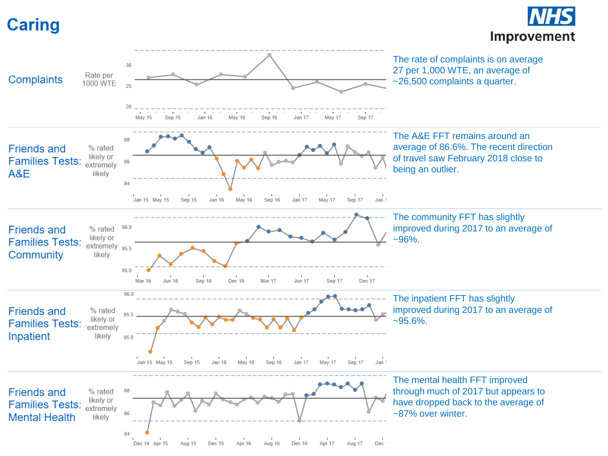# **Caring**



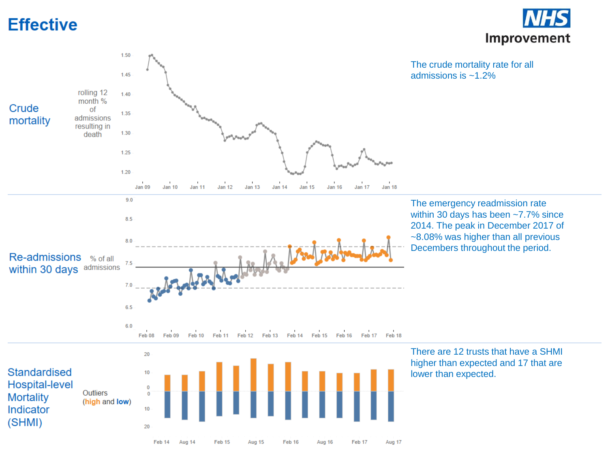## **Effective**





Feb 14

Aug 14

Feb 15

Aug 15

Feb 16

Aug 16

Feb 17

Aug 17

The emergency readmission rate within 30 days has been ~7.7% since 2014. The peak in December 2017 of ~8.08% was higher than all previous Decembers throughout the period.

There are 12 trusts that have a SHMI higher than expected and 17 that are lower than expected.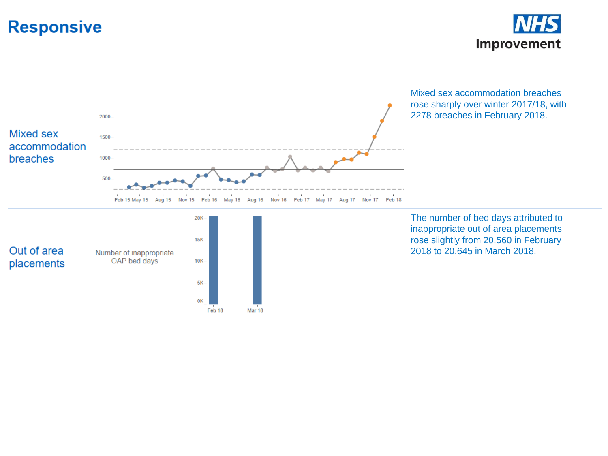## **Responsive**